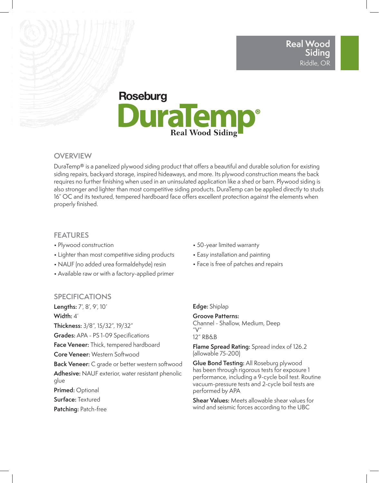# **Roseburg JuraTem Real Wood Siding**

## **OVERVIEW**

DuraTemp® is a panelized plywood siding product that offers a beautiful and durable solution for existing siding repairs, backyard storage, inspired hideaways, and more. Its plywood construction means the back requires no further finishing when used in an uninsulated application like a shed or barn. Plywood siding is also stronger and lighter than most competitive siding products. DuraTemp can be applied directly to studs 16" OC and its textured, tempered hardboard face offers excellent protection against the elements when properly finished.

## **FEATURES**

- Plywood construction
- Lighter than most competitive siding products
- NAUF (no added urea formaldehyde) resin
- Available raw or with a factory-applied primer

## **SPECIFICATIONS**

**Lengths:** 7', 8', 9', 10' **Width:** 4'

**Thickness:** 3/8", 15/32", 19/32"

**Grades:** APA - PS 1-09 Specifications

**Face Veneer:** Thick, tempered hardboard

**Core Veneer:** Western Softwood

**Back Veneer:** C grade or better western softwood

**Adhesive:** NAUF exterior, water resistant phenolic glue

**Primed:** Optional

**Surface:** Textured

**Patching:** Patch-free

- 50-year limited warranty
- Easy installation and painting
- Face is free of patches and repairs

**Edge:** Shiplap

**Groove Patterns:** Channel - Shallow, Medium, Deep  $"V"$ 12" RB&B

**Flame Spread Rating:** Spread index of 126.2 (allowable 75-200)

**Glue Bond Testing:** All Roseburg plywood has been through rigorous tests for exposure 1 performance, including a 9-cycle boil test. Routine vacuum-pressure tests and 2-cycle boil tests are performed by APA

**Shear Values:** Meets allowable shear values for wind and seismic forces according to the UBC